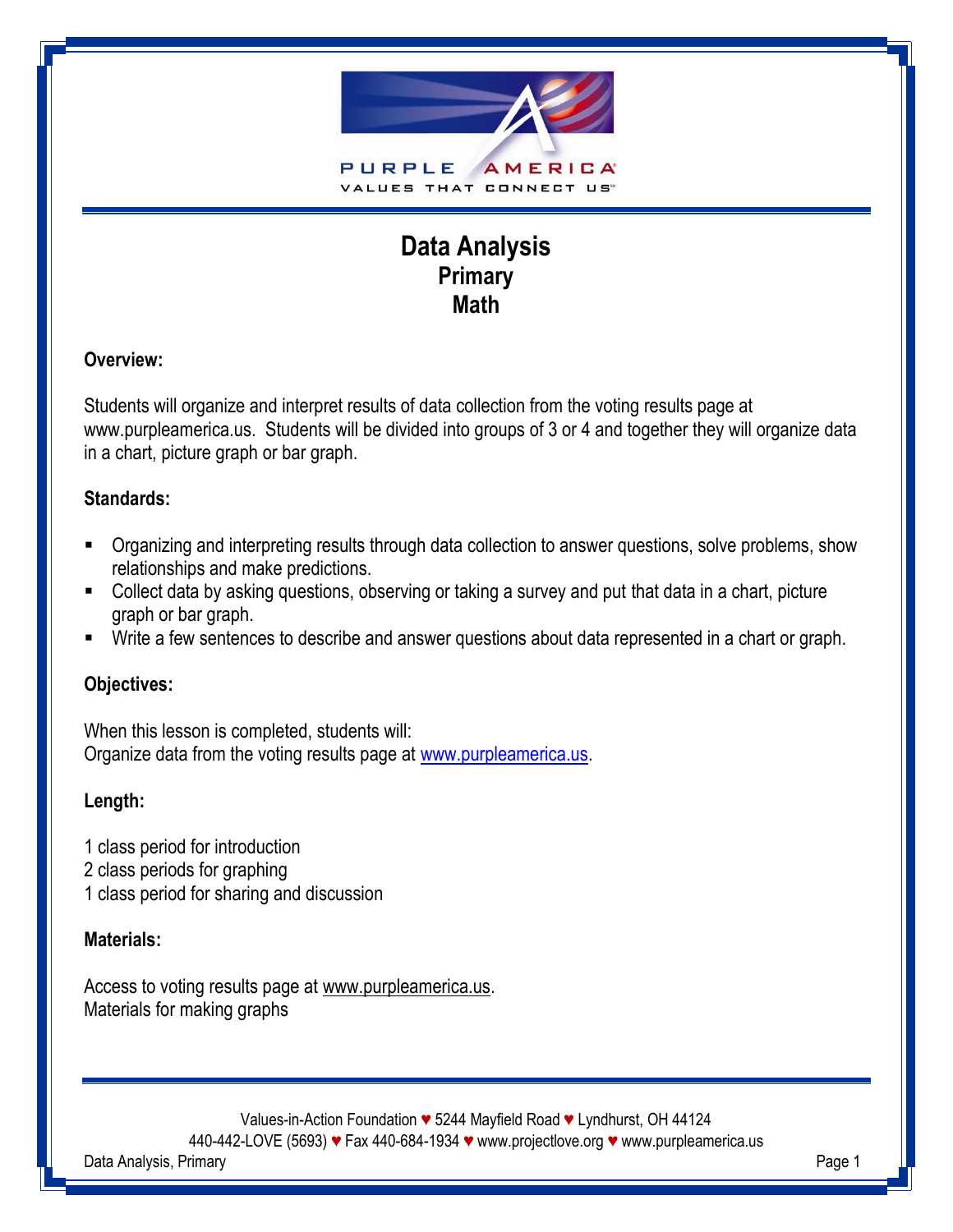

# **Data Analysis Primary Math**

# **Overview:**

Students will organize and interpret results of data collection from the voting results page at www.purpleamerica.us. Students will be divided into groups of 3 or 4 and together they will organize data in a chart, picture graph or bar graph.

# **Standards:**

- Organizing and interpreting results through data collection to answer questions, solve problems, show relationships and make predictions.
- Collect data by asking questions, observing or taking a survey and put that data in a chart, picture graph or bar graph.
- Write a few sentences to describe and answer questions about data represented in a chart or graph.

# **Objectives:**

When this lesson is completed, students will: Organize data from the voting results page at [www.purpleamerica.us.](http://www.purpleamerica.us/)

# **Length:**

- 1 class period for introduction
- 2 class periods for graphing
- 1 class period for sharing and discussion

# **Materials:**

Access to voting results page at www.purpleamerica.us. Materials for making graphs